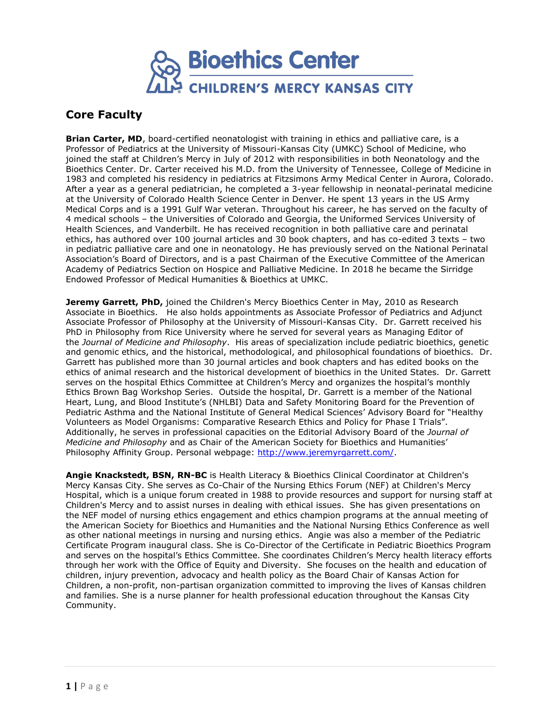

## **Core Faculty**

**Brian Carter, MD**, board-certified neonatologist with training in ethics and palliative care, is a Professor of Pediatrics at the University of Missouri-Kansas City (UMKC) School of Medicine, who joined the staff at Children's Mercy in July of 2012 with responsibilities in both Neonatology and the Bioethics Center. Dr. Carter received his M.D. from the University of Tennessee, College of Medicine in 1983 and completed his residency in pediatrics at Fitzsimons Army Medical Center in Aurora, Colorado. After a year as a general pediatrician, he completed a 3-year fellowship in neonatal-perinatal medicine at the University of Colorado Health Science Center in Denver. He spent 13 years in the US Army Medical Corps and is a 1991 Gulf War veteran. Throughout his career, he has served on the faculty of 4 medical schools – the Universities of Colorado and Georgia, the Uniformed Services University of Health Sciences, and Vanderbilt. He has received recognition in both palliative care and perinatal ethics, has authored over 100 journal articles and 30 book chapters, and has co-edited 3 texts – two in pediatric palliative care and one in neonatology. He has previously served on the National Perinatal Association's Board of Directors, and is a past Chairman of the Executive Committee of the American Academy of Pediatrics Section on Hospice and Palliative Medicine. In 2018 he became the Sirridge Endowed Professor of Medical Humanities & Bioethics at UMKC.

**Jeremy Garrett, PhD,** joined the Children's Mercy Bioethics Center in May, 2010 as Research Associate in Bioethics. He also holds appointments as Associate Professor of Pediatrics and Adjunct Associate Professor of Philosophy at the University of Missouri-Kansas City. Dr. Garrett received his PhD in Philosophy from Rice University where he served for several years as Managing Editor of the *Journal of Medicine and Philosophy*. His areas of specialization include pediatric bioethics, genetic and genomic ethics, and the historical, methodological, and philosophical foundations of bioethics. Dr. Garrett has published more than 30 journal articles and book chapters and has edited books on the ethics of animal research and the historical development of bioethics in the United States. Dr. Garrett serves on the hospital Ethics Committee at Children's Mercy and organizes the hospital's monthly Ethics Brown Bag Workshop Series. Outside the hospital, Dr. Garrett is a member of the National Heart, Lung, and Blood Institute's (NHLBI) Data and Safety Monitoring Board for the Prevention of Pediatric Asthma and the National Institute of General Medical Sciences' Advisory Board for "Healthy Volunteers as Model Organisms: Comparative Research Ethics and Policy for Phase I Trials". Additionally, he serves in professional capacities on the Editorial Advisory Board of the *Journal of Medicine and Philosophy* and as Chair of the American Society for Bioethics and Humanities' Philosophy Affinity Group. Personal webpage: [http://www.jeremyrgarrett.com/.](http://www.jeremyrgarrett.com/)

**Angie Knackstedt, BSN, RN-BC** is Health Literacy & Bioethics Clinical Coordinator at Children's Mercy Kansas City. She serves as Co-Chair of the Nursing Ethics Forum (NEF) at Children's Mercy Hospital, which is a unique forum created in 1988 to provide resources and support for nursing staff at Children's Mercy and to assist nurses in dealing with ethical issues. She has given presentations on the NEF model of nursing ethics engagement and ethics champion programs at the annual meeting of the American Society for Bioethics and Humanities and the National Nursing Ethics Conference as well as other national meetings in nursing and nursing ethics. Angie was also a member of the Pediatric Certificate Program inaugural class. She is Co-Director of the Certificate in Pediatric Bioethics Program and serves on the hospital's Ethics Committee. She coordinates Children's Mercy health literacy efforts through her work with the Office of Equity and Diversity. She focuses on the health and education of children, injury prevention, advocacy and health policy as the Board Chair of Kansas Action for Children, a non-profit, non-partisan organization committed to improving the lives of Kansas children and families. She is a nurse planner for health professional education throughout the Kansas City Community.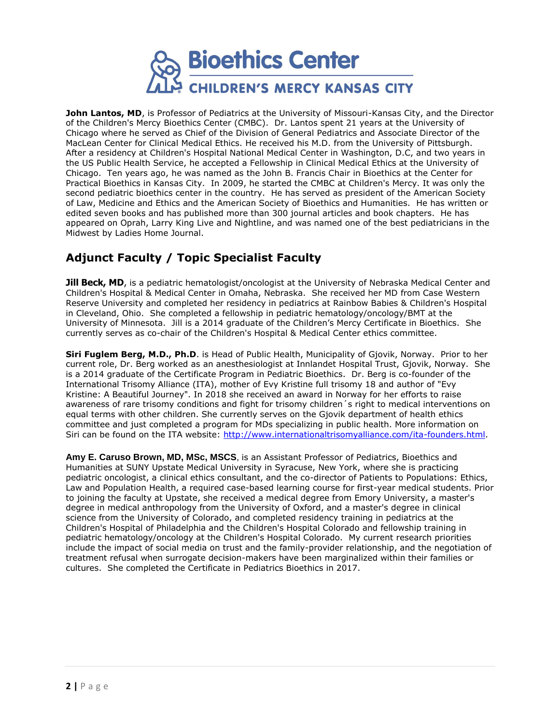

**John Lantos, MD**, is Professor of Pediatrics at the University of Missouri-Kansas City, and the Director of the Children's Mercy Bioethics Center (CMBC). Dr. Lantos spent 21 years at the University of Chicago where he served as Chief of the Division of General Pediatrics and Associate Director of the MacLean Center for Clinical Medical Ethics. He received his M.D. from the University of Pittsburgh. After a residency at Children's Hospital National Medical Center in Washington, D.C, and two years in the US Public Health Service, he accepted a Fellowship in Clinical Medical Ethics at the University of Chicago. Ten years ago, he was named as the John B. Francis Chair in Bioethics at the Center for Practical Bioethics in Kansas City. In 2009, he started the CMBC at Children's Mercy. It was only the second pediatric bioethics center in the country. He has served as president of the American Society of Law, Medicine and Ethics and the American Society of Bioethics and Humanities. He has written or edited seven books and has published more than 300 journal articles and book chapters. He has appeared on Oprah, Larry King Live and Nightline, and was named one of the best pediatricians in the Midwest by Ladies Home Journal.

## **Adjunct Faculty / Topic Specialist Faculty**

**Jill Beck, MD**, is a pediatric hematologist/oncologist at the University of Nebraska Medical Center and Children's Hospital & Medical Center in Omaha, Nebraska. She received her MD from Case Western Reserve University and completed her residency in pediatrics at Rainbow Babies & Children's Hospital in Cleveland, Ohio. She completed a fellowship in pediatric hematology/oncology/BMT at the University of Minnesota. Jill is a 2014 graduate of the Children's Mercy Certificate in Bioethics. She currently serves as co-chair of the Children's Hospital & Medical Center ethics committee.

**Siri Fuglem Berg, M.D., Ph.D**. is Head of Public Health, Municipality of Gjovik, Norway. Prior to her current role, Dr. Berg worked as an anesthesiologist at Innlandet Hospital Trust, Gjovik, Norway. She is a 2014 graduate of the Certificate Program in Pediatric Bioethics. Dr. Berg is co-founder of the International Trisomy Alliance (ITA), mother of Evy Kristine full trisomy 18 and author of "Evy Kristine: A Beautiful Journey". In 2018 she received an award in Norway for her efforts to raise awareness of rare trisomy conditions and fight for trisomy children´s right to medical interventions on equal terms with other children. She currently serves on the Gjovik department of health ethics committee and just completed a program for MDs specializing in public health. More information on Siri can be found on the ITA website: [http://www.internationaltrisomyalliance.com/ita-founders.html.](https://urldefense.proofpoint.com/v2/url?u=http-3A__www.internationaltrisomyalliance.com_ita-2Dfounders.html&d=DwMFaQ&c=Zl2T6vaIOSZ-iGixmidu-Jjpn1CKtCl7U5wJPI4UCTc&r=6SVH--820ngdlVm8uB3XnIj-uV4ogaT0iDWeFBymDxE&m=svDQaLBpH9FxQSB_JYdMqB7ifx9szDiR3NWyD58b-8g&s=oIIt-jGNNfVPAPRuw4lnoyvcHMTsBLW5Pi-p1ZMj7bY&e=)

**Amy E. Caruso Brown, MD, MSc, MSCS**, is an Assistant Professor of Pediatrics, Bioethics and Humanities at SUNY Upstate Medical University in Syracuse, New York, where she is practicing pediatric oncologist, a clinical ethics consultant, and the co-director of Patients to Populations: Ethics, Law and Population Health, a required case-based learning course for first-year medical students. Prior to joining the faculty at Upstate, she received a medical degree from Emory University, a master's degree in medical anthropology from the University of Oxford, and a master's degree in clinical science from the University of Colorado, and completed residency training in pediatrics at the Children's Hospital of Philadelphia and the Children's Hospital Colorado and fellowship training in pediatric hematology/oncology at the Children's Hospital Colorado. My current research priorities include the impact of social media on trust and the family-provider relationship, and the negotiation of treatment refusal when surrogate decision-makers have been marginalized within their families or cultures. She completed the Certificate in Pediatrics Bioethics in 2017.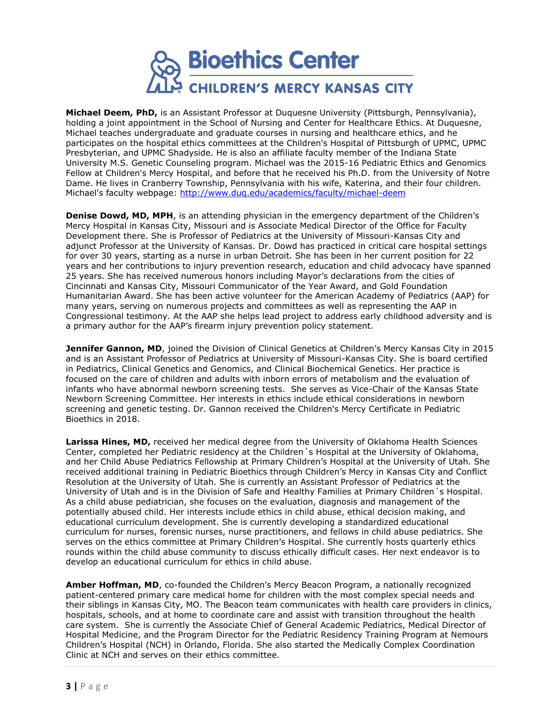

**Michael Deem, PhD,** is an Assistant Professor at Duquesne University (Pittsburgh, Pennsylvania), holding a joint appointment in the School of Nursing and Center for Healthcare Ethics. At Duquesne, Michael teaches undergraduate and graduate courses in nursing and healthcare ethics, and he participates on the hospital ethics committees at the Children's Hospital of Pittsburgh of UPMC, UPMC Presbyterian, and UPMC Shadyside. He is also an affiliate faculty member of the Indiana State University M.S. Genetic Counseling program. Michael was the 2015-16 Pediatric Ethics and Genomics Fellow at Children's Mercy Hospital, and before that he received his Ph.D. from the University of Notre Dame. He lives in Cranberry Township, Pennsylvania with his wife, Katerina, and their four children. Michael's faculty webpage: <http://www.duq.edu/academics/faculty/michael-deem>

**Denise Dowd, MD, MPH**, is an attending physician in the emergency department of the Children's Mercy Hospital in Kansas City, Missouri and is Associate Medical Director of the Office for Faculty Development there. She is Professor of Pediatrics at the University of Missouri-Kansas City and adjunct Professor at the University of Kansas. Dr. Dowd has practiced in critical care hospital settings for over 30 years, starting as a nurse in urban Detroit. She has been in her current position for 22 years and her contributions to injury prevention research, education and child advocacy have spanned 25 years. She has received numerous honors including Mayor's declarations from the cities of Cincinnati and Kansas City, Missouri Communicator of the Year Award, and Gold Foundation Humanitarian Award. She has been active volunteer for the American Academy of Pediatrics (AAP) for many years, serving on numerous projects and committees as well as representing the AAP in Congressional testimony. At the AAP she helps lead project to address early childhood adversity and is a primary author for the AAP's firearm injury prevention policy statement.

**Jennifer Gannon, MD**, joined the Division of Clinical Genetics at Children's Mercy Kansas City in 2015 and is an Assistant Professor of Pediatrics at University of Missouri-Kansas City. She is board certified in Pediatrics, Clinical Genetics and Genomics, and Clinical Biochemical Genetics. Her practice is focused on the care of children and adults with inborn errors of metabolism and the evaluation of infants who have abnormal newborn screening tests. She serves as Vice-Chair of the Kansas State Newborn Screening Committee. Her interests in ethics include ethical considerations in newborn screening and genetic testing. Dr. Gannon received the Children's Mercy Certificate in Pediatric Bioethics in 2018.

Larissa Hines, MD, received her medical degree from the University of Oklahoma Health Sciences Center, completed her Pediatric residency at the Children´s Hospital at the University of Oklahoma, and her Child Abuse Pediatrics Fellowship at Primary Children's Hospital at the University of Utah. She received additional training in Pediatric Bioethics through Children's Mercy in Kansas City and Conflict Resolution at the University of Utah. She is currently an Assistant Professor of Pediatrics at the University of Utah and is in the Division of Safe and Healthy Families at Primary Children´s Hospital. As a child abuse pediatrician, she focuses on the evaluation, diagnosis and management of the potentially abused child. Her interests include ethics in child abuse, ethical decision making, and educational curriculum development. She is currently developing a standardized educational curriculum for nurses, forensic nurses, nurse practitioners, and fellows in child abuse pediatrics. She serves on the ethics committee at Primary Children's Hospital. She currently hosts quarterly ethics rounds within the child abuse community to discuss ethically difficult cases. Her next endeavor is to develop an educational curriculum for ethics in child abuse.

**Amber Hoffman, MD**, co-founded the Children's Mercy Beacon Program, a nationally recognized patient-centered primary care medical home for children with the most complex special needs and their siblings in Kansas City, MO. The Beacon team communicates with health care providers in clinics, hospitals, schools, and at home to coordinate care and assist with transition throughout the health care system. She is currently the Associate Chief of General Academic Pediatrics, Medical Director of Hospital Medicine, and the Program Director for the Pediatric Residency Training Program at Nemours Children's Hospital (NCH) in Orlando, Florida. She also started the Medically Complex Coordination Clinic at NCH and serves on their ethics committee.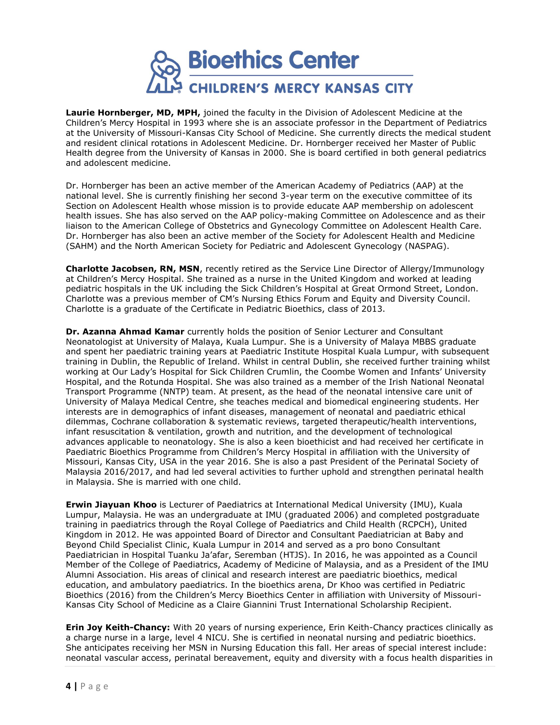

**Laurie Hornberger, MD, MPH,** joined the faculty in the Division of Adolescent Medicine at the Children's Mercy Hospital in 1993 where she is an associate professor in the Department of Pediatrics at the University of Missouri-Kansas City School of Medicine. She currently directs the medical student and resident clinical rotations in Adolescent Medicine. Dr. Hornberger received her Master of Public Health degree from the University of Kansas in 2000. She is board certified in both general pediatrics and adolescent medicine.

Dr. Hornberger has been an active member of the American Academy of Pediatrics (AAP) at the national level. She is currently finishing her second 3-year term on the executive committee of its Section on Adolescent Health whose mission is to provide educate AAP membership on adolescent health issues. She has also served on the AAP policy-making Committee on Adolescence and as their liaison to the American College of Obstetrics and Gynecology Committee on Adolescent Health Care. Dr. Hornberger has also been an active member of the Society for Adolescent Health and Medicine (SAHM) and the North American Society for Pediatric and Adolescent Gynecology (NASPAG).

**Charlotte Jacobsen, RN, MSN**, recently retired as the Service Line Director of Allergy/Immunology at Children's Mercy Hospital. She trained as a nurse in the United Kingdom and worked at leading pediatric hospitals in the UK including the Sick Children's Hospital at Great Ormond Street, London. Charlotte was a previous member of CM's Nursing Ethics Forum and Equity and Diversity Council. Charlotte is a graduate of the Certificate in Pediatric Bioethics, class of 2013.

**Dr. Azanna Ahmad Kamar** currently holds the position of Senior Lecturer and Consultant Neonatologist at University of Malaya, Kuala Lumpur. She is a University of Malaya MBBS graduate and spent her paediatric training years at Paediatric Institute Hospital Kuala Lumpur, with subsequent training in Dublin, the Republic of Ireland. Whilst in central Dublin, she received further training whilst working at Our Lady's Hospital for Sick Children Crumlin, the Coombe Women and Infants' University Hospital, and the Rotunda Hospital. She was also trained as a member of the Irish National Neonatal Transport Programme (NNTP) team. At present, as the head of the neonatal intensive care unit of University of Malaya Medical Centre, she teaches medical and biomedical engineering students. Her interests are in demographics of infant diseases, management of neonatal and paediatric ethical dilemmas, Cochrane collaboration & systematic reviews, targeted therapeutic/health interventions, infant resuscitation & ventilation, growth and nutrition, and the development of technological advances applicable to neonatology. She is also a keen bioethicist and had received her certificate in Paediatric Bioethics Programme from Children's Mercy Hospital in affiliation with the University of Missouri, Kansas City, USA in the year 2016. She is also a past President of the Perinatal Society of Malaysia 2016/2017, and had led several activities to further uphold and strengthen perinatal health in Malaysia. She is married with one child.

**Erwin Jiayuan Khoo** is Lecturer of Paediatrics at International Medical University (IMU), Kuala Lumpur, Malaysia. He was an undergraduate at IMU (graduated 2006) and completed postgraduate training in paediatrics through the Royal College of Paediatrics and Child Health (RCPCH), United Kingdom in 2012. He was appointed Board of Director and Consultant Paediatrician at Baby and Beyond Child Specialist Clinic, Kuala Lumpur in 2014 and served as a pro bono Consultant Paediatrician in Hospital Tuanku Ja'afar, Seremban (HTJS). In 2016, he was appointed as a Council Member of the College of Paediatrics, Academy of Medicine of Malaysia, and as a President of the IMU Alumni Association. His areas of clinical and research interest are paediatric bioethics, medical education, and ambulatory paediatrics. In the bioethics arena, Dr Khoo was certified in Pediatric Bioethics (2016) from the Children's Mercy Bioethics Center in affiliation with University of Missouri-Kansas City School of Medicine as a Claire Giannini Trust International Scholarship Recipient.

**Erin Joy Keith-Chancy:** With 20 years of nursing experience, Erin Keith-Chancy practices clinically as a charge nurse in a large, level 4 NICU. She is certified in neonatal nursing and pediatric bioethics. She anticipates receiving her MSN in Nursing Education this fall. Her areas of special interest include: neonatal vascular access, perinatal bereavement, equity and diversity with a focus health disparities in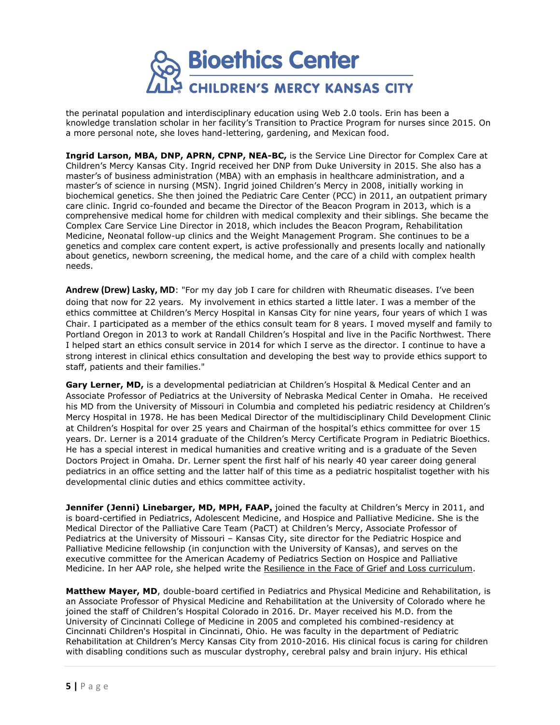

the perinatal population and interdisciplinary education using Web 2.0 tools. Erin has been a knowledge translation scholar in her facility's Transition to Practice Program for nurses since 2015. On a more personal note, she loves hand-lettering, gardening, and Mexican food.

**Ingrid Larson, MBA, DNP, APRN, CPNP, NEA-BC,** is the Service Line Director for Complex Care at Children's Mercy Kansas City. Ingrid received her DNP from Duke University in 2015. She also has a master's of business administration (MBA) with an emphasis in healthcare administration, and a master's of science in nursing (MSN). Ingrid joined Children's Mercy in 2008, initially working in biochemical genetics. She then joined the Pediatric Care Center (PCC) in 2011, an outpatient primary care clinic. Ingrid co-founded and became the Director of the Beacon Program in 2013, which is a comprehensive medical home for children with medical complexity and their siblings. She became the Complex Care Service Line Director in 2018, which includes the Beacon Program, Rehabilitation Medicine, Neonatal follow-up clinics and the Weight Management Program. She continues to be a genetics and complex care content expert, is active professionally and presents locally and nationally about genetics, newborn screening, the medical home, and the care of a child with complex health needs.

**Andrew (Drew) Lasky, MD**: "For my day job I care for children with Rheumatic diseases. I've been doing that now for 22 years. My involvement in ethics started a little later. I was a member of the ethics committee at Children's Mercy Hospital in Kansas City for nine years, four years of which I was Chair. I participated as a member of the ethics consult team for 8 years. I moved myself and family to Portland Oregon in 2013 to work at Randall Children's Hospital and live in the Pacific Northwest. There I helped start an ethics consult service in 2014 for which I serve as the director. I continue to have a strong interest in clinical ethics consultation and developing the best way to provide ethics support to staff, patients and their families."

**Gary Lerner, MD,** is a developmental pediatrician at Children's Hospital & Medical Center and an Associate Professor of Pediatrics at the University of Nebraska Medical Center in Omaha. He received his MD from the University of Missouri in Columbia and completed his pediatric residency at Children's Mercy Hospital in 1978. He has been Medical Director of the multidisciplinary Child Development Clinic at Children's Hospital for over 25 years and Chairman of the hospital's ethics committee for over 15 years. Dr. Lerner is a 2014 graduate of the Children's Mercy Certificate Program in Pediatric Bioethics. He has a special interest in medical humanities and creative writing and is a graduate of the Seven Doctors Project in Omaha. Dr. Lerner spent the first half of his nearly 40 year career doing general pediatrics in an office setting and the latter half of this time as a pediatric hospitalist together with his developmental clinic duties and ethics committee activity.

**Jennifer (Jenni) Linebarger, MD, MPH, FAAP,** joined the faculty at Children's Mercy in 2011, and is board-certified in Pediatrics, Adolescent Medicine, and Hospice and Palliative Medicine. She is the Medical Director of the Palliative Care Team (PaCT) at Children's Mercy, Associate Professor of Pediatrics at the University of Missouri – Kansas City, site director for the Pediatric Hospice and Palliative Medicine fellowship (in conjunction with the University of Kansas), and serves on the executive committee for the American Academy of Pediatrics Section on Hospice and Palliative Medicine. In her AAP role, she helped write the [Resilience in the Face of Grief and Loss curriculum.](https://www.aap.org/en-us/advocacy-and-policy/aap-health-initiatives/hospice-palliative-care/Pages/Resilience-Curriculum.aspx)

**Matthew Mayer, MD**, double-board certified in Pediatrics and Physical Medicine and Rehabilitation, is an Associate Professor of Physical Medicine and Rehabilitation at the University of Colorado where he joined the staff of Children's Hospital Colorado in 2016. Dr. Mayer received his M.D. from the University of Cincinnati College of Medicine in 2005 and completed his combined-residency at Cincinnati Children's Hospital in Cincinnati, Ohio. He was faculty in the department of Pediatric Rehabilitation at Children's Mercy Kansas City from 2010-2016. His clinical focus is caring for children with disabling conditions such as muscular dystrophy, cerebral palsy and brain injury. His ethical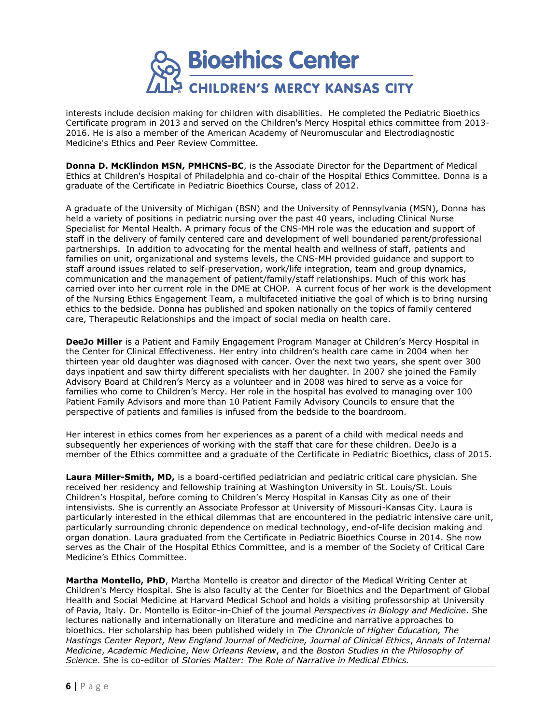

interests include decision making for children with disabilities. He completed the Pediatric Bioethics Certificate program in 2013 and served on the Children's Mercy Hospital ethics committee from 2013- 2016. He is also a member of the American Academy of Neuromuscular and Electrodiagnostic Medicine's Ethics and Peer Review Committee.

**Donna D. McKlindon MSN, PMHCNS-BC**, is the Associate Director for the Department of Medical Ethics at Children's Hospital of Philadelphia and co-chair of the Hospital Ethics Committee. Donna is a graduate of the Certificate in Pediatric Bioethics Course, class of 2012.

A graduate of the University of Michigan (BSN) and the University of Pennsylvania (MSN), Donna has held a variety of positions in pediatric nursing over the past 40 years, including Clinical Nurse Specialist for Mental Health. A primary focus of the CNS-MH role was the education and support of staff in the delivery of family centered care and development of well boundaried parent/professional partnerships. In addition to advocating for the mental health and wellness of staff, patients and families on unit, organizational and systems levels, the CNS-MH provided guidance and support to staff around issues related to self-preservation, work/life integration, team and group dynamics, communication and the management of patient/family/staff relationships. Much of this work has carried over into her current role in the DME at CHOP. A current focus of her work is the development of the Nursing Ethics Engagement Team, a multifaceted initiative the goal of which is to bring nursing ethics to the bedside. Donna has published and spoken nationally on the topics of family centered care, Therapeutic Relationships and the impact of social media on health care.

**DeeJo Miller** is a Patient and Family Engagement Program Manager at Children's Mercy Hospital in the Center for Clinical Effectiveness. Her entry into children's health care came in 2004 when her thirteen year old daughter was diagnosed with cancer. Over the next two years, she spent over 300 days inpatient and saw thirty different specialists with her daughter. In 2007 she joined the Family Advisory Board at Children's Mercy as a volunteer and in 2008 was hired to serve as a voice for families who come to Children's Mercy. Her role in the hospital has evolved to managing over 100 Patient Family Advisors and more than 10 Patient Family Advisory Councils to ensure that the perspective of patients and families is infused from the bedside to the boardroom.

Her interest in ethics comes from her experiences as a parent of a child with medical needs and subsequently her experiences of working with the staff that care for these children. DeeJo is a member of the Ethics committee and a graduate of the Certificate in Pediatric Bioethics, class of 2015.

**Laura Miller-Smith, MD,** is a board-certified pediatrician and pediatric critical care physician. She received her residency and fellowship training at Washington University in St. Louis/St. Louis Children's Hospital, before coming to Children's Mercy Hospital in Kansas City as one of their intensivists. She is currently an Associate Professor at University of Missouri-Kansas City. Laura is particularly interested in the ethical dilemmas that are encountered in the pediatric intensive care unit, particularly surrounding chronic dependence on medical technology, end-of-life decision making and organ donation. Laura graduated from the Certificate in Pediatric Bioethics Course in 2014. She now serves as the Chair of the Hospital Ethics Committee, and is a member of the Society of Critical Care Medicine's Ethics Committee.

**Martha Montello, PhD**, Martha Montello is creator and director of the Medical Writing Center at Children's Mercy Hospital. She is also faculty at the Center for Bioethics and the Department of Global Health and Social Medicine at Harvard Medical School and holds a visiting professorship at University of Pavia, Italy. Dr. Montello is Editor-in-Chief of the journal *Perspectives in Biology and Medicine*. She lectures nationally and internationally on literature and medicine and narrative approaches to bioethics. Her scholarship has been published widely in *The Chronicle of Higher Education, The Hastings Center Report, New England Journal of Medicine, Journal of Clinical Ethics*, *Annals of Internal Medicine*, *Academic Medicine*, *New Orleans Review*, and the *Boston Studies in the Philosophy of Science*. She is co-editor of *Stories Matter: The Role of Narrative in Medical Ethics.*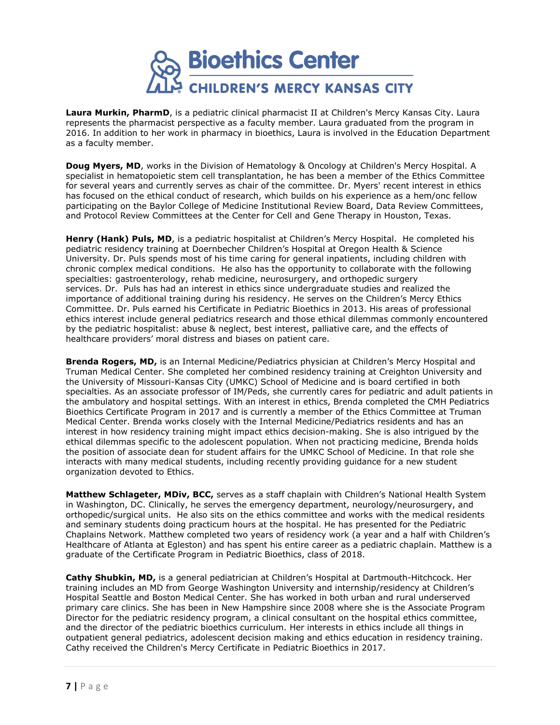

**Laura Murkin, PharmD**, is a pediatric clinical pharmacist II at Children's Mercy Kansas City. Laura represents the pharmacist perspective as a faculty member. Laura graduated from the program in 2016. In addition to her work in pharmacy in bioethics, Laura is involved in the Education Department as a faculty member.

**Doug Myers, MD**, works in the Division of Hematology & Oncology at Children's Mercy Hospital. A specialist in hematopoietic stem cell transplantation, he has been a member of the Ethics Committee for several years and currently serves as chair of the committee. Dr. Myers' recent interest in ethics has focused on the ethical conduct of research, which builds on his experience as a hem/onc fellow participating on the Baylor College of Medicine Institutional Review Board, Data Review Committees, and Protocol Review Committees at the Center for Cell and Gene Therapy in Houston, Texas.

**Henry (Hank) Puls, MD**, is a pediatric hospitalist at Children's Mercy Hospital. He completed his pediatric residency training at Doernbecher Children's Hospital at Oregon Health & Science University. Dr. Puls spends most of his time caring for general inpatients, including children with chronic complex medical conditions. He also has the opportunity to collaborate with the following specialties: gastroenterology, rehab medicine, neurosurgery, and orthopedic surgery services. Dr. Puls has had an interest in ethics since undergraduate studies and realized the importance of additional training during his residency. He serves on the Children's Mercy Ethics Committee. Dr. Puls earned his Certificate in Pediatric Bioethics in 2013. His areas of professional ethics interest include general pediatrics research and those ethical dilemmas commonly encountered by the pediatric hospitalist: abuse & neglect, best interest, palliative care, and the effects of healthcare providers' moral distress and biases on patient care.

**Brenda Rogers, MD,** is an Internal Medicine/Pediatrics physician at Children's Mercy Hospital and Truman Medical Center. She completed her combined residency training at Creighton University and the University of Missouri-Kansas City (UMKC) School of Medicine and is board certified in both specialties. As an associate professor of IM/Peds, she currently cares for pediatric and adult patients in the ambulatory and hospital settings. With an interest in ethics, Brenda completed the CMH Pediatrics Bioethics Certificate Program in 2017 and is currently a member of the Ethics Committee at Truman Medical Center. Brenda works closely with the Internal Medicine/Pediatrics residents and has an interest in how residency training might impact ethics decision-making. She is also intrigued by the ethical dilemmas specific to the adolescent population. When not practicing medicine, Brenda holds the position of associate dean for student affairs for the UMKC School of Medicine. In that role she interacts with many medical students, including recently providing guidance for a new student organization devoted to Ethics.

**Matthew Schlageter, MDiv, BCC,** serves as a staff chaplain with Children's National Health System in Washington, DC. Clinically, he serves the emergency department, neurology/neurosurgery, and orthopedic/surgical units. He also sits on the ethics committee and works with the medical residents and seminary students doing practicum hours at the hospital. He has presented for the Pediatric Chaplains Network. Matthew completed two years of residency work (a year and a half with Children's Healthcare of Atlanta at Egleston) and has spent his entire career as a pediatric chaplain. Matthew is a graduate of the Certificate Program in Pediatric Bioethics, class of 2018.

**Cathy Shubkin, MD,** is a general pediatrician at Children's Hospital at Dartmouth-Hitchcock. Her training includes an MD from George Washington University and internship/residency at Children's Hospital Seattle and Boston Medical Center. She has worked in both urban and rural underserved primary care clinics. She has been in New Hampshire since 2008 where she is the Associate Program Director for the pediatric residency program, a clinical consultant on the hospital ethics committee, and the director of the pediatric bioethics curriculum. Her interests in ethics include all things in outpatient general pediatrics, adolescent decision making and ethics education in residency training. Cathy received the Children's Mercy Certificate in Pediatric Bioethics in 2017.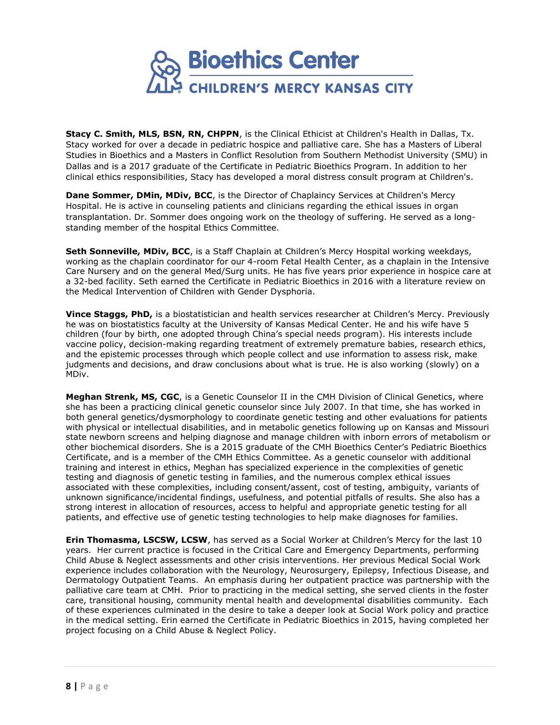

**Stacy C. Smith, MLS, BSN, RN, CHPPN**, is the Clinical Ethicist at Children's Health in Dallas, Tx. Stacy worked for over a decade in pediatric hospice and palliative care. She has a Masters of Liberal Studies in Bioethics and a Masters in Conflict Resolution from Southern Methodist University (SMU) in Dallas and is a 2017 graduate of the Certificate in Pediatric Bioethics Program. In addition to her clinical ethics responsibilities, Stacy has developed a moral distress consult program at Children's.

**Dane Sommer, DMin, MDiv, BCC**, is the Director of Chaplaincy Services at Children's Mercy Hospital. He is active in counseling patients and clinicians regarding the ethical issues in organ transplantation. Dr. Sommer does ongoing work on the theology of suffering. He served as a longstanding member of the hospital Ethics Committee.

**Seth Sonneville, MDiv, BCC**, is a Staff Chaplain at Children's Mercy Hospital working weekdays, working as the chaplain coordinator for our 4-room Fetal Health Center, as a chaplain in the Intensive Care Nursery and on the general Med/Surg units. He has five years prior experience in hospice care at a 32-bed facility. Seth earned the Certificate in Pediatric Bioethics in 2016 with a literature review on the Medical Intervention of Children with Gender Dysphoria.

**Vince Staggs, PhD,** is a biostatistician and health services researcher at Children's Mercy. Previously he was on biostatistics faculty at the University of Kansas Medical Center. He and his wife have 5 children (four by birth, one adopted through China's special needs program). His interests include vaccine policy, decision-making regarding treatment of extremely premature babies, research ethics, and the epistemic processes through which people collect and use information to assess risk, make judgments and decisions, and draw conclusions about what is true. He is also working (slowly) on a MDiv.

**Meghan Strenk, MS, CGC**, is a Genetic Counselor II in the CMH Division of Clinical Genetics, where she has been a practicing clinical genetic counselor since July 2007. In that time, she has worked in both general genetics/dysmorphology to coordinate genetic testing and other evaluations for patients with physical or intellectual disabilities, and in metabolic genetics following up on Kansas and Missouri state newborn screens and helping diagnose and manage children with inborn errors of metabolism or other biochemical disorders. She is a 2015 graduate of the CMH Bioethics Center's Pediatric Bioethics Certificate, and is a member of the CMH Ethics Committee. As a genetic counselor with additional training and interest in ethics, Meghan has specialized experience in the complexities of genetic testing and diagnosis of genetic testing in families, and the numerous complex ethical issues associated with these complexities, including consent/assent, cost of testing, ambiguity, variants of unknown significance/incidental findings, usefulness, and potential pitfalls of results. She also has a strong interest in allocation of resources, access to helpful and appropriate genetic testing for all patients, and effective use of genetic testing technologies to help make diagnoses for families.

**Erin Thomasma, LSCSW, LCSW**, has served as a Social Worker at Children's Mercy for the last 10 years. Her current practice is focused in the Critical Care and Emergency Departments, performing Child Abuse & Neglect assessments and other crisis interventions. Her previous Medical Social Work experience includes collaboration with the Neurology, Neurosurgery, Epilepsy, Infectious Disease, and Dermatology Outpatient Teams. An emphasis during her outpatient practice was partnership with the palliative care team at CMH. Prior to practicing in the medical setting, she served clients in the foster care, transitional housing, community mental health and developmental disabilities community. Each of these experiences culminated in the desire to take a deeper look at Social Work policy and practice in the medical setting. Erin earned the Certificate in Pediatric Bioethics in 2015, having completed her project focusing on a Child Abuse & Neglect Policy.